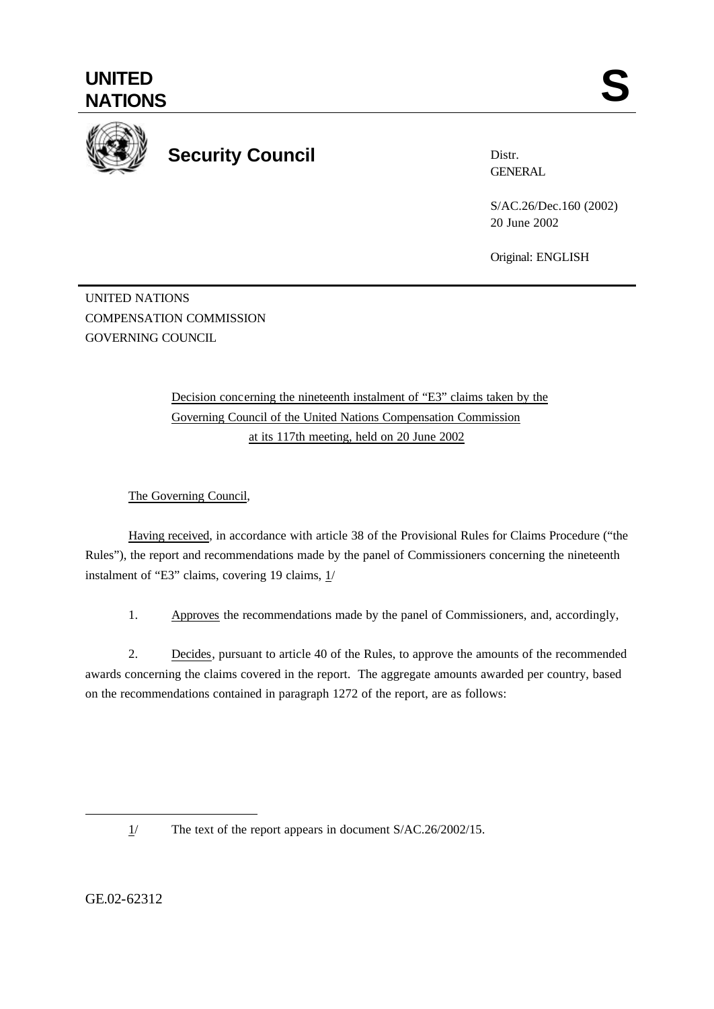

## **Security Council**

Distr. **GENERAL** 

S/AC.26/Dec.160 (2002) 20 June 2002

Original: ENGLISH

UNITED NATIONS COMPENSATION COMMISSION GOVERNING COUNCIL

> Decision concerning the nineteenth instalment of "E3" claims taken by the Governing Council of the United Nations Compensation Commission at its 117th meeting, held on 20 June 2002

The Governing Council,

Having received, in accordance with article 38 of the Provisional Rules for Claims Procedure ("the Rules"), the report and recommendations made by the panel of Commissioners concerning the nineteenth instalment of "E3" claims, covering 19 claims,  $1/$ 

1. Approves the recommendations made by the panel of Commissioners, and, accordingly,

2. Decides, pursuant to article 40 of the Rules, to approve the amounts of the recommended awards concerning the claims covered in the report. The aggregate amounts awarded per country, based on the recommendations contained in paragraph 1272 of the report, are as follows:

l

GE.02-62312

 $1/$  The text of the report appears in document S/AC.26/2002/15.